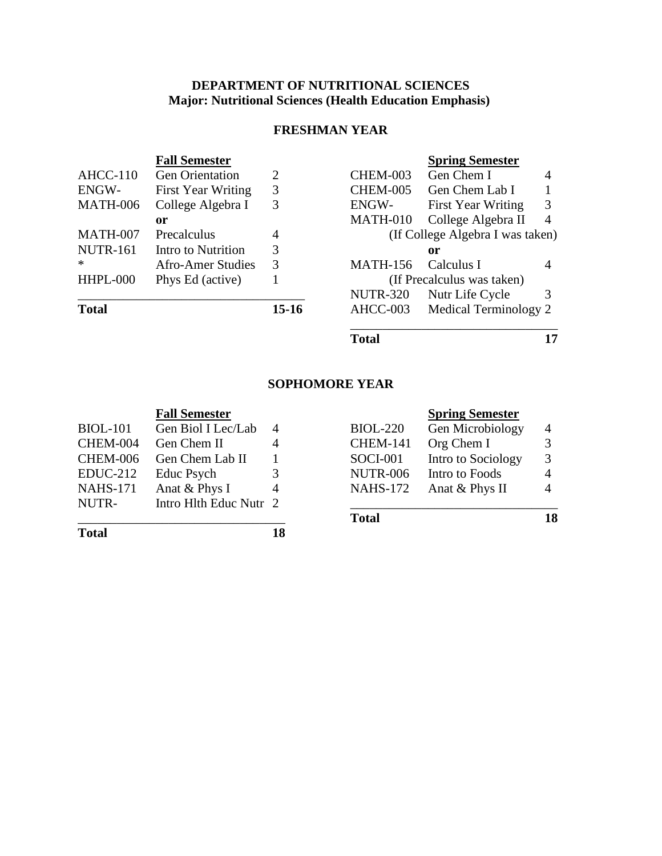# **DEPARTMENT OF NUTRITIONAL SCIENCES Major: Nutritional Sciences (Health Education Emphasis)**

# **FRESHMAN YEAR**

|                 | <b>Fall Semester</b>      |         |                 | <b>Spring Semester</b>           |   |
|-----------------|---------------------------|---------|-----------------|----------------------------------|---|
| $AHCC-110$      | <b>Gen Orientation</b>    | 2       | <b>CHEM-003</b> | Gen Chem I                       | 4 |
| ENGW-           | <b>First Year Writing</b> | 3       | <b>CHEM-005</b> | Gen Chem Lab I                   |   |
| <b>MATH-006</b> | College Algebra I         | 3       | ENGW-           | <b>First Year Writing</b>        | 3 |
|                 | or                        |         | <b>MATH-010</b> | College Algebra II               | 4 |
| MATH-007        | Precalculus               | 4       |                 | (If College Algebra I was taken) |   |
| <b>NUTR-161</b> | Intro to Nutrition        | 3       |                 | or                               |   |
| $\ast$          | Afro-Amer Studies         | 3       | <b>MATH-156</b> | Calculus I                       |   |
| HHPL-000        | Phys Ed (active)          |         |                 | (If Precalculus was taken)       |   |
|                 |                           |         | <b>NUTR-320</b> | Nutr Life Cycle                  | 3 |
| <b>Total</b>    |                           | $15-16$ | AHCC-003        | Medical Terminology 2            |   |

**Total 17**

## **SOPHOMORE YEAR**

| <b>Fall Semester</b>                           |          | <b>Spring</b>    |
|------------------------------------------------|----------|------------------|
| $C_{\alpha n}$ $D_{\alpha}$ I I $\alpha$ I and | DIAL 220 | $C_{\alpha n} M$ |

|                 |                                  |    | <b>Total</b>    |                             | 18 |
|-----------------|----------------------------------|----|-----------------|-----------------------------|----|
| NUTR-           | Intro Hlth Educ Nutr 2           |    |                 |                             |    |
| <b>NAHS-171</b> | Anat & Phys I                    |    |                 | NAHS-172 Anat $&$ Phys II   | 4  |
| $EDUC-212$      | Educ Psych                       | 3. | <b>NUTR-006</b> | Intro to Foods              | 4  |
|                 | CHEM-006 Gen Chem Lab II         |    |                 | SOCI-001 Intro to Sociology | 3  |
| CHEM-004        | Gen Chem II                      |    | <b>CHEM-141</b> | Org Chem I                  | 3  |
| $BIOL-IOI$      | Gen B <sub>101</sub> Lec/Lab $4$ |    | $BIOL-ZZU$      | <b>Gen MICRODIOIOGY</b>     | 4  |

**Total 18**

|  | <b>Spring Semester</b> |
|--|------------------------|
|  |                        |

| BIOL-101 | Gen Biol I Lec/Lab 4                                                   |                        |                 | BIOL-220 Gen Microbiology   | $\overline{4}$ |
|----------|------------------------------------------------------------------------|------------------------|-----------------|-----------------------------|----------------|
|          | CHEM-004 Gen Chem II                                                   |                        | <b>CHEM-141</b> | Org Chem I                  | 3              |
|          | CHEM-006 Gen Chem Lab II                                               |                        |                 | SOCI-001 Intro to Sociology | -3             |
|          | EDUC-212 Educ Psych                                                    | 3                      | <b>NUTR-006</b> | Intro to Foods              | $\overline{4}$ |
|          | NAHS-171 Anat & Phys I                                                 | $\boldsymbol{\Lambda}$ |                 | NAHS-172 Anat $&$ Phys II   | $\overline{4}$ |
| NII ITD. | $Int_{max}$ III <sup>I</sup> <sub>1</sub> $H_{max}$ $N_{min}$ $\Omega$ |                        |                 |                             |                |